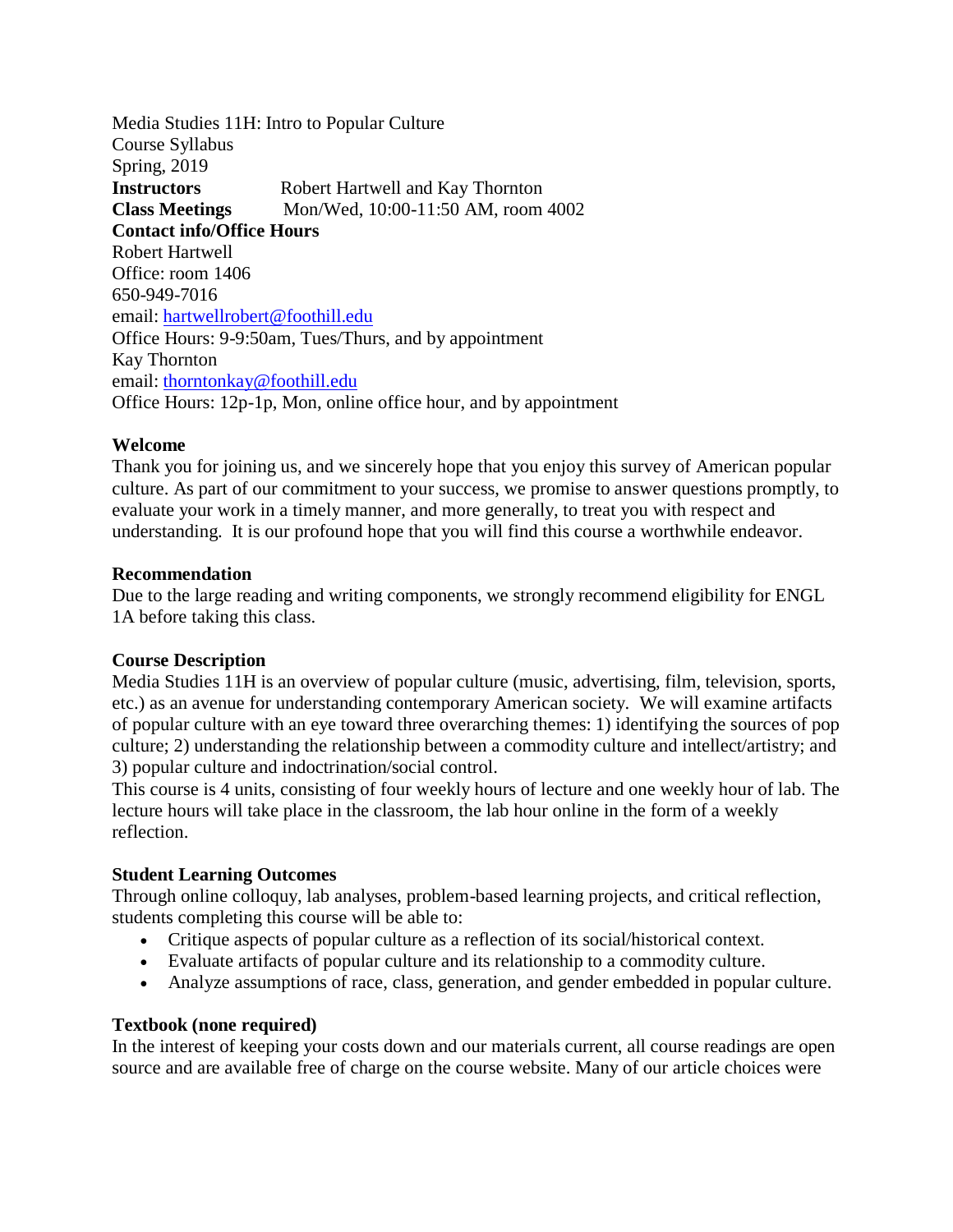Media Studies 11H: Intro to Popular Culture Course Syllabus Spring, 2019 **Instructors** Robert Hartwell and Kay Thornton **Class Meetings** Mon/Wed, 10:00-11:50 AM, room 4002 **Contact info/Office Hours** Robert Hartwell Office: room 1406 650-949-7016 email: [hartwellrobert@foothill.edu](mailto:hartwellrobert@foothill.edu) Office Hours: 9-9:50am, Tues/Thurs, and by appointment Kay Thornton email: [thorntonkay@foothill.edu](mailto:thorntonkay@foothill.edu) Office Hours: 12p-1p, Mon, online office hour, and by appointment

### **Welcome**

Thank you for joining us, and we sincerely hope that you enjoy this survey of American popular culture. As part of our commitment to your success, we promise to answer questions promptly, to evaluate your work in a timely manner, and more generally, to treat you with respect and understanding. It is our profound hope that you will find this course a worthwhile endeavor.

### **Recommendation**

Due to the large reading and writing components, we strongly recommend eligibility for ENGL 1A before taking this class.

# **Course Description**

Media Studies 11H is an overview of popular culture (music, advertising, film, television, sports, etc.) as an avenue for understanding contemporary American society. We will examine artifacts of popular culture with an eye toward three overarching themes: 1) identifying the sources of pop culture; 2) understanding the relationship between a commodity culture and intellect/artistry; and 3) popular culture and indoctrination/social control.

This course is 4 units, consisting of four weekly hours of lecture and one weekly hour of lab. The lecture hours will take place in the classroom, the lab hour online in the form of a weekly reflection.

#### **Student Learning Outcomes**

Through online colloquy, lab analyses, problem-based learning projects, and critical reflection, students completing this course will be able to:

- Critique aspects of popular culture as a reflection of its social/historical context.
- Evaluate artifacts of popular culture and its relationship to a commodity culture.
- Analyze assumptions of race, class, generation, and gender embedded in popular culture.

#### **Textbook (none required)**

In the interest of keeping your costs down and our materials current, all course readings are open source and are available free of charge on the course website. Many of our article choices were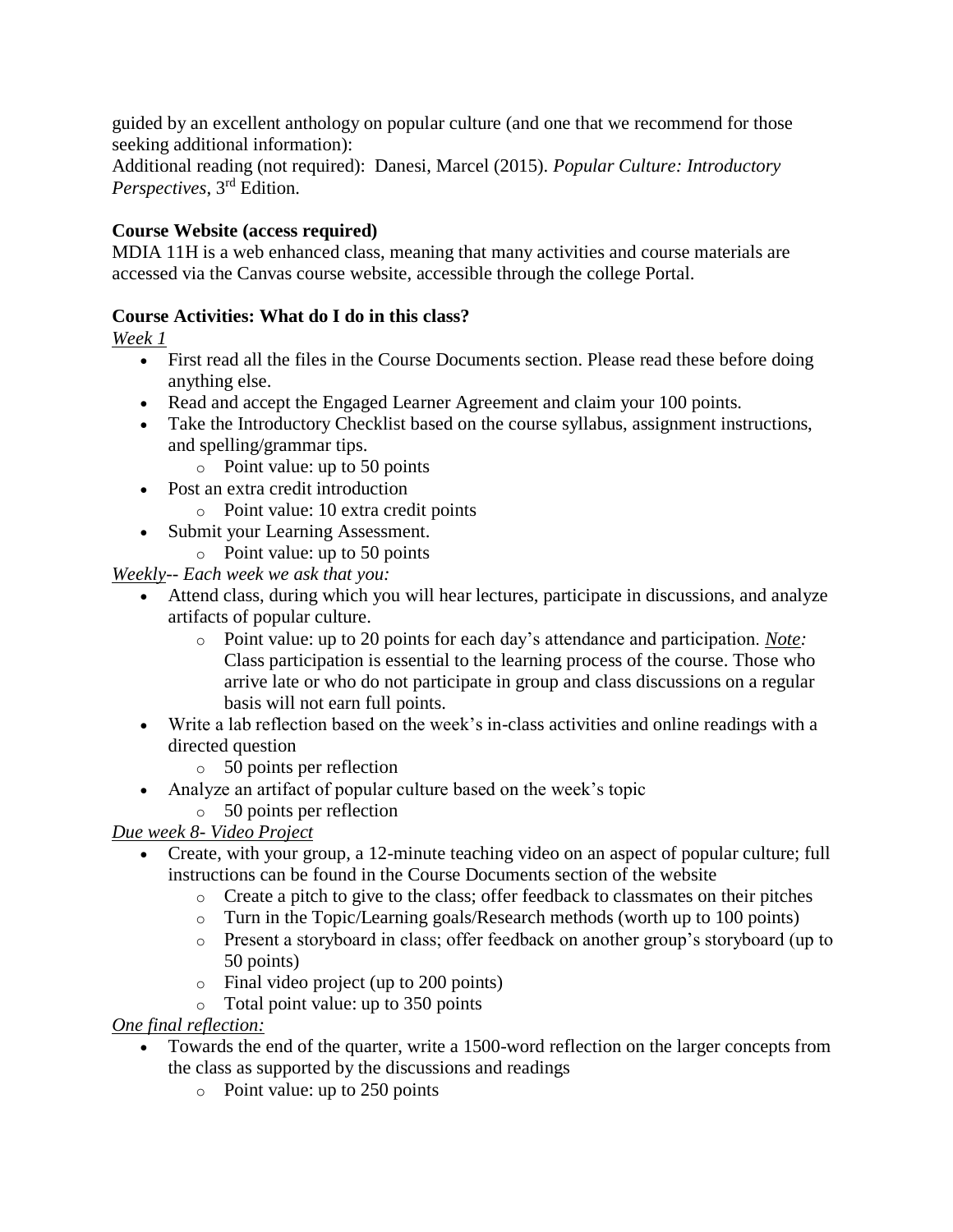guided by an excellent anthology on popular culture (and one that we recommend for those seeking additional information):

Additional reading (not required): Danesi, Marcel (2015). *Popular Culture: Introductory Perspectives*, 3rd Edition.

# **Course Website (access required)**

MDIA 11H is a web enhanced class, meaning that many activities and course materials are accessed via the Canvas course website, accessible through the college Portal.

# **Course Activities: What do I do in this class?**

*Week 1*

- First read all the files in the Course Documents section. Please read these before doing anything else.
- Read and accept the Engaged Learner Agreement and claim your 100 points.
- Take the Introductory Checklist based on the course syllabus, assignment instructions, and spelling/grammar tips.
	- o Point value: up to 50 points
- Post an extra credit introduction
	- o Point value: 10 extra credit points
- Submit your Learning Assessment.
	- o Point value: up to 50 points

*Weekly-- Each week we ask that you:*

- Attend class, during which you will hear lectures, participate in discussions, and analyze artifacts of popular culture.
	- o Point value: up to 20 points for each day's attendance and participation. *Note:* Class participation is essential to the learning process of the course. Those who arrive late or who do not participate in group and class discussions on a regular basis will not earn full points.
- Write a lab reflection based on the week's in-class activities and online readings with a directed question

o 50 points per reflection

- Analyze an artifact of popular culture based on the week's topic
	- o 50 points per reflection

# *Due week 8- Video Project*

- Create, with your group, a 12-minute teaching video on an aspect of popular culture; full instructions can be found in the Course Documents section of the website
	- $\circ$  Create a pitch to give to the class; offer feedback to classmates on their pitches
	- o Turn in the Topic/Learning goals/Research methods (worth up to 100 points)
	- o Present a storyboard in class; offer feedback on another group's storyboard (up to 50 points)
	- o Final video project (up to 200 points)
	- o Total point value: up to 350 points

*One final reflection:*

- Towards the end of the quarter, write a 1500-word reflection on the larger concepts from the class as supported by the discussions and readings
	- o Point value: up to 250 points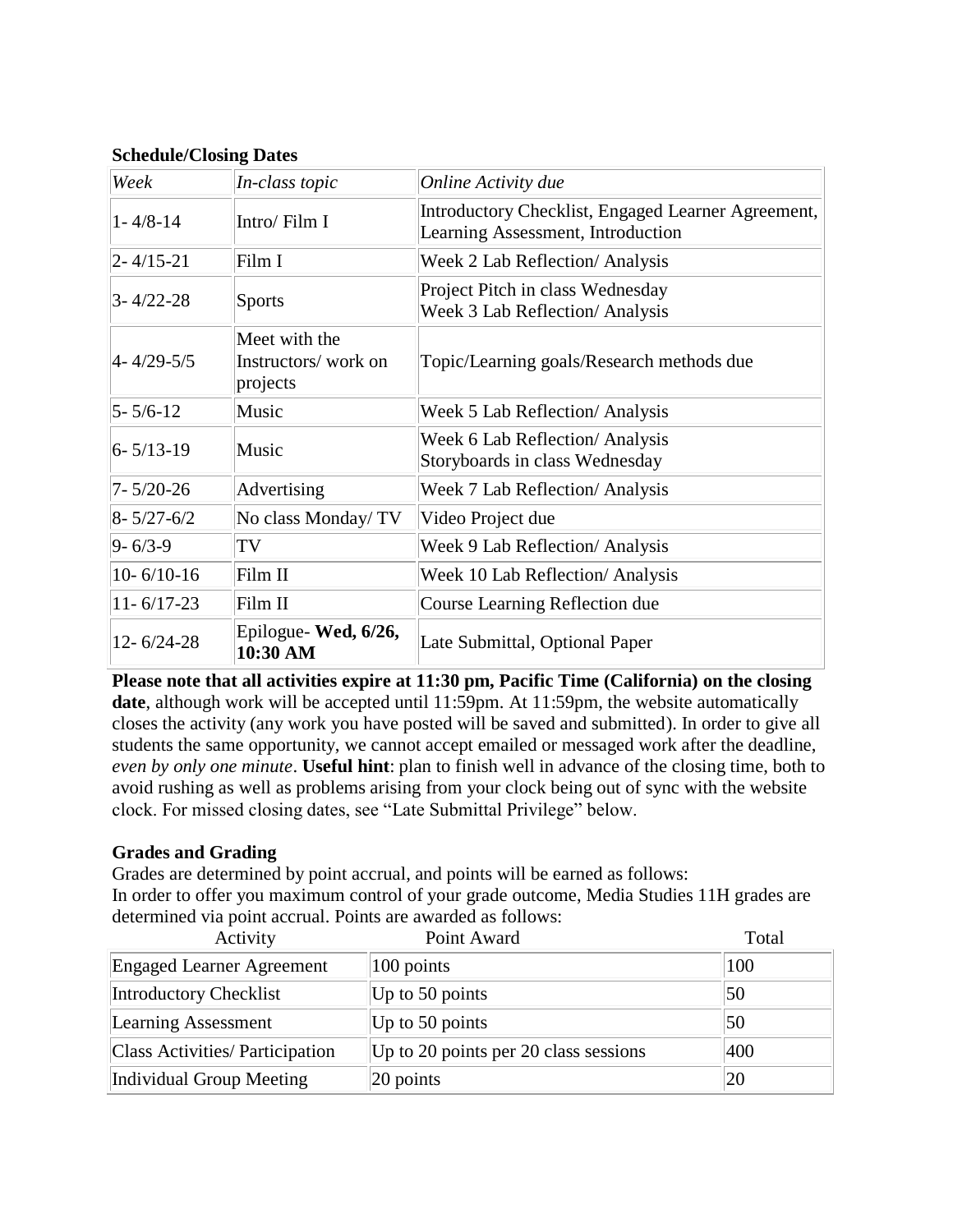| Week             | In-class topic                                   | Online Activity due                                                                     |
|------------------|--------------------------------------------------|-----------------------------------------------------------------------------------------|
| $1 - 4/8 - 14$   | Intro/Film I                                     | Introductory Checklist, Engaged Learner Agreement,<br>Learning Assessment, Introduction |
| $2 - 4/15 - 21$  | Film I                                           | Week 2 Lab Reflection/ Analysis                                                         |
| $3 - 4/22 - 28$  | <b>Sports</b>                                    | Project Pitch in class Wednesday<br><b>Week 3 Lab Reflection/ Analysis</b>              |
| 4-4/29-5/5       | Meet with the<br>Instructors/work on<br>projects | Topic/Learning goals/Research methods due                                               |
| $5 - 5/6 - 12$   | Music                                            | Week 5 Lab Reflection/ Analysis                                                         |
| $6 - 5/13 - 19$  | Music                                            | Week 6 Lab Reflection/ Analysis<br>Storyboards in class Wednesday                       |
| $7 - 5/20 - 26$  | Advertising                                      | Week 7 Lab Reflection/ Analysis                                                         |
| $8 - 5/27 - 6/2$ | No class Monday/TV                               | Video Project due                                                                       |
| $9 - 6/3 - 9$    | TV                                               | Week 9 Lab Reflection/ Analysis                                                         |
| $10 - 6/10 - 16$ | Film II                                          | Week 10 Lab Reflection/ Analysis                                                        |
| $11 - 6/17 - 23$ | Film II                                          | Course Learning Reflection due                                                          |
| $12 - 6/24 - 28$ | Epilogue-Wed, 6/26,<br>10:30 AM                  | Late Submittal, Optional Paper                                                          |

**Schedule/Closing Dates**

**Please note that all activities expire at 11:30 pm, Pacific Time (California) on the closing**  date, although work will be accepted until 11:59pm. At 11:59pm, the website automatically closes the activity (any work you have posted will be saved and submitted). In order to give all students the same opportunity, we cannot accept emailed or messaged work after the deadline, *even by only one minute*. **Useful hint**: plan to finish well in advance of the closing time, both to avoid rushing as well as problems arising from your clock being out of sync with the website clock. For missed closing dates, see "Late Submittal Privilege" below.

# **Grades and Grading**

Grades are determined by point accrual, and points will be earned as follows: In order to offer you maximum control of your grade outcome, Media Studies 11H grades are determined via point accrual. Points are awarded as follows:

| Activity                         | Point Award                           | Total |
|----------------------------------|---------------------------------------|-------|
| <b>Engaged Learner Agreement</b> | 100 points                            | 100   |
| Introductory Checklist           | Up to 50 points                       | 50    |
| <b>Learning Assessment</b>       | Up to 50 points                       | 50    |
| Class Activities/ Participation  | Up to 20 points per 20 class sessions | 400   |
| Individual Group Meeting         | $ 20$ points                          | 20    |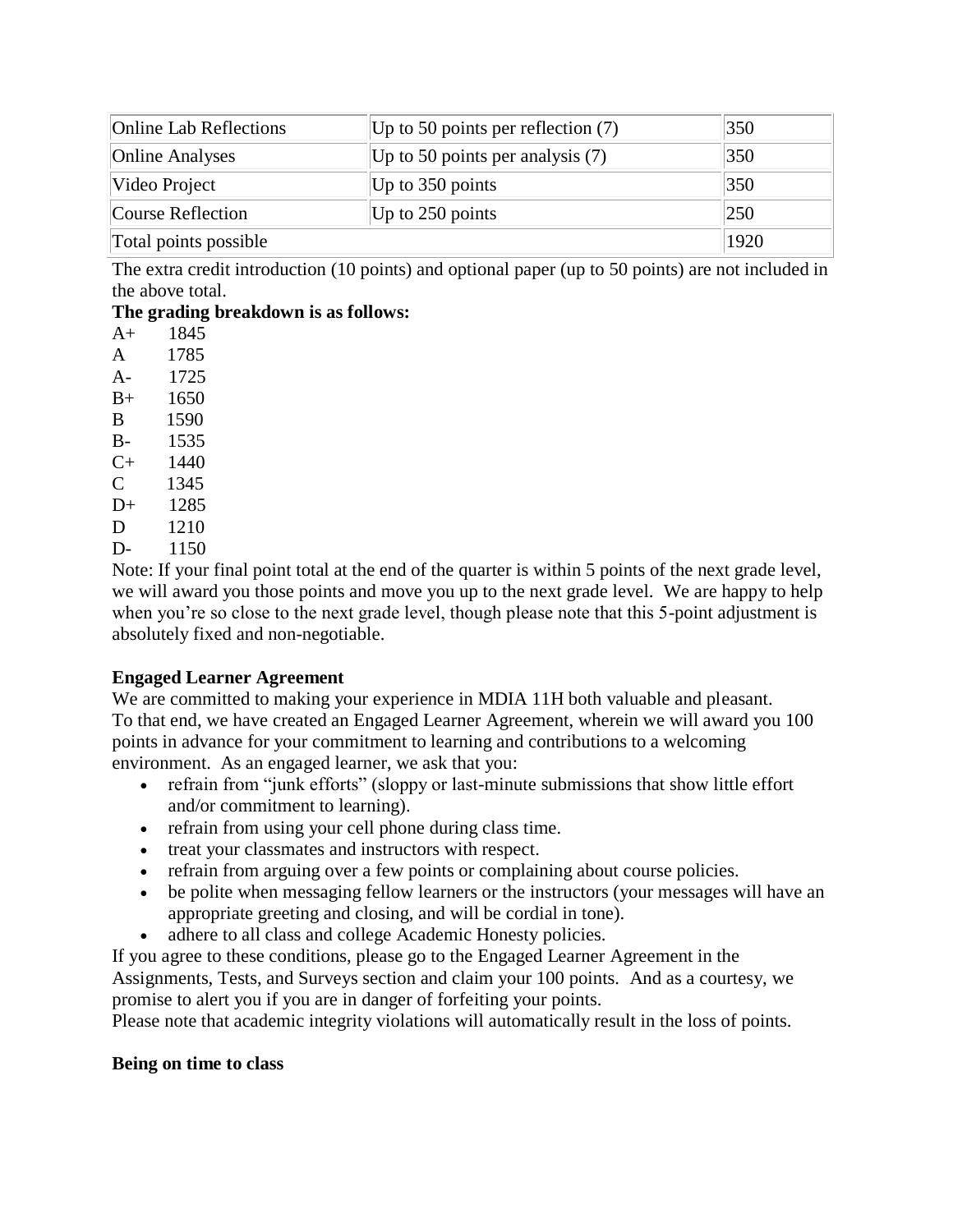| <b>Online Lab Reflections</b> | Up to 50 points per reflection $(7)$ | 350  |
|-------------------------------|--------------------------------------|------|
| <b>Online Analyses</b>        | Up to 50 points per analysis $(7)$   | 350  |
| Video Project                 | Up to $350$ points                   | 350  |
| Course Reflection             | Up to $250$ points                   | 250  |
| Total points possible         |                                      | 1920 |

The extra credit introduction (10 points) and optional paper (up to 50 points) are not included in the above total.

# **The grading breakdown is as follows:**

A+ 1845 A 1785 A- 1725 B+ 1650 B 1590 B- 1535 C+ 1440 C 1345 D+ 1285 D 1210 D- 1150

Note: If your final point total at the end of the quarter is within 5 points of the next grade level, we will award you those points and move you up to the next grade level. We are happy to help when you're so close to the next grade level, though please note that this 5-point adjustment is absolutely fixed and non-negotiable.

# **Engaged Learner Agreement**

We are committed to making your experience in MDIA 11H both valuable and pleasant. To that end, we have created an Engaged Learner Agreement, wherein we will award you 100 points in advance for your commitment to learning and contributions to a welcoming environment. As an engaged learner, we ask that you:

- refrain from "junk efforts" (sloppy or last-minute submissions that show little effort and/or commitment to learning).
- refrain from using your cell phone during class time.
- treat your classmates and instructors with respect.
- refrain from arguing over a few points or complaining about course policies.
- be polite when messaging fellow learners or the instructors (your messages will have an appropriate greeting and closing, and will be cordial in tone).
- adhere to all class and college Academic Honesty policies.

If you agree to these conditions, please go to the Engaged Learner Agreement in the Assignments, Tests, and Surveys section and claim your 100 points. And as a courtesy, we promise to alert you if you are in danger of forfeiting your points.

Please note that academic integrity violations will automatically result in the loss of points.

# **Being on time to class**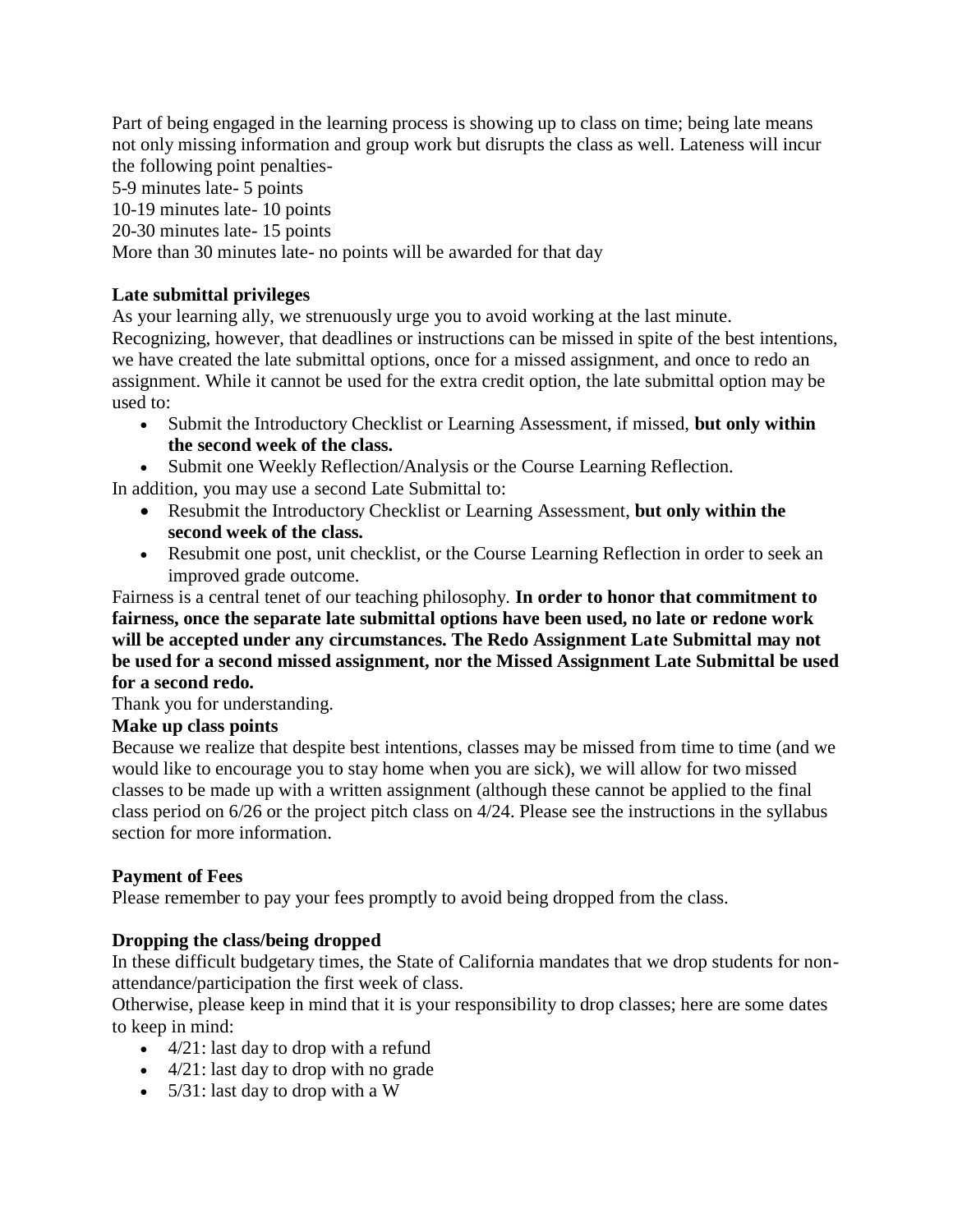Part of being engaged in the learning process is showing up to class on time; being late means not only missing information and group work but disrupts the class as well. Lateness will incur the following point penalties-

5-9 minutes late- 5 points

10-19 minutes late- 10 points

20-30 minutes late- 15 points

More than 30 minutes late- no points will be awarded for that day

# **Late submittal privileges**

As your learning ally, we strenuously urge you to avoid working at the last minute. Recognizing, however, that deadlines or instructions can be missed in spite of the best intentions, we have created the late submittal options, once for a missed assignment, and once to redo an assignment. While it cannot be used for the extra credit option, the late submittal option may be used to:

- Submit the Introductory Checklist or Learning Assessment, if missed, **but only within the second week of the class.**
- Submit one Weekly Reflection/Analysis or the Course Learning Reflection.

In addition, you may use a second Late Submittal to:

- Resubmit the Introductory Checklist or Learning Assessment, **but only within the second week of the class.**
- Resubmit one post, unit checklist, or the Course Learning Reflection in order to seek an improved grade outcome.

### Fairness is a central tenet of our teaching philosophy. **In order to honor that commitment to fairness, once the separate late submittal options have been used, no late or redone work will be accepted under any circumstances. The Redo Assignment Late Submittal may not be used for a second missed assignment, nor the Missed Assignment Late Submittal be used for a second redo.**

Thank you for understanding.

# **Make up class points**

Because we realize that despite best intentions, classes may be missed from time to time (and we would like to encourage you to stay home when you are sick), we will allow for two missed classes to be made up with a written assignment (although these cannot be applied to the final class period on 6/26 or the project pitch class on 4/24. Please see the instructions in the syllabus section for more information.

# **Payment of Fees**

Please remember to pay your fees promptly to avoid being dropped from the class.

# **Dropping the class/being dropped**

In these difficult budgetary times, the State of California mandates that we drop students for nonattendance/participation the first week of class.

Otherwise, please keep in mind that it is your responsibility to drop classes; here are some dates to keep in mind:

- 4/21: last day to drop with a refund
- 4/21: last day to drop with no grade
- 5/31: last day to drop with a W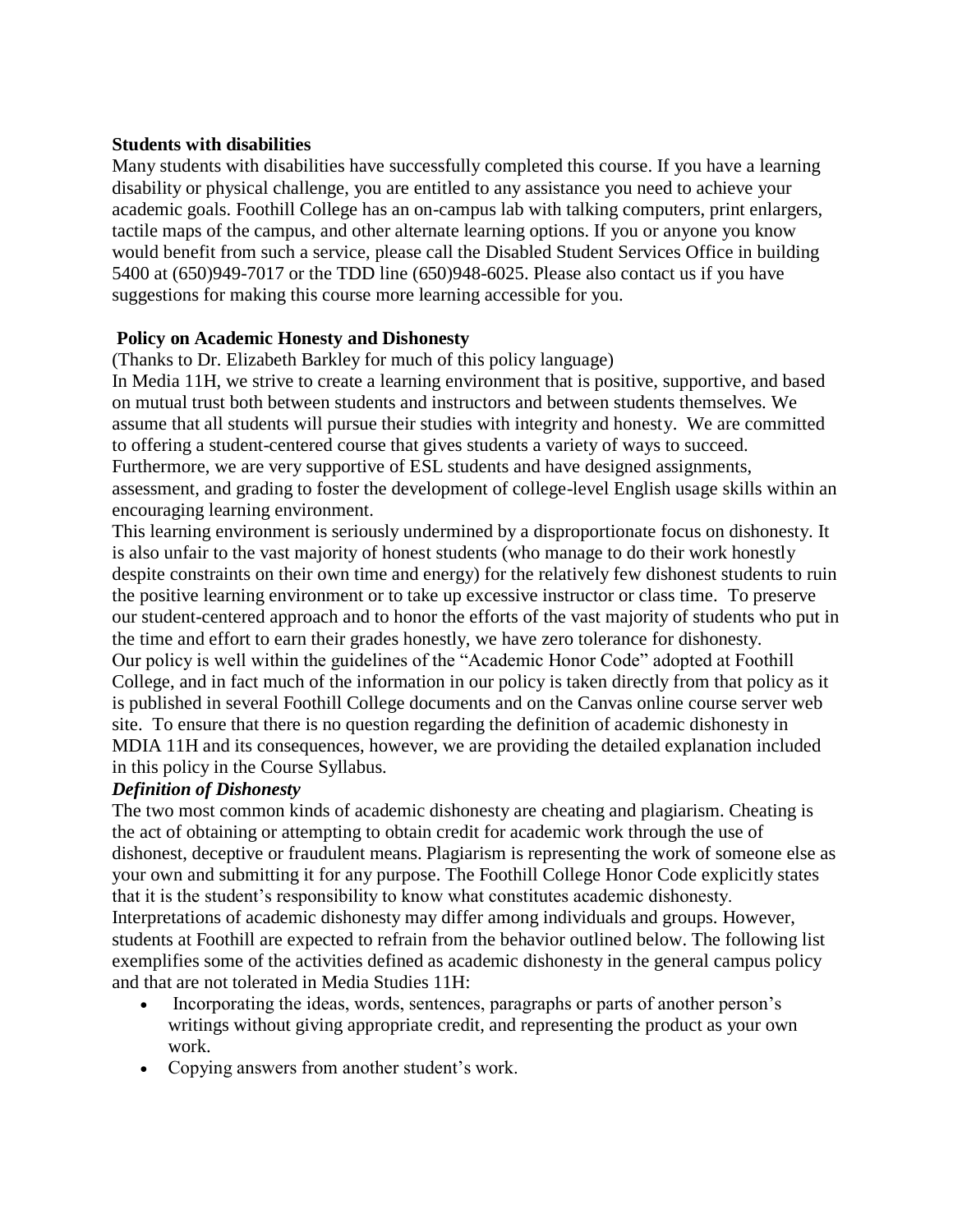### **Students with disabilities**

Many students with disabilities have successfully completed this course. If you have a learning disability or physical challenge, you are entitled to any assistance you need to achieve your academic goals. Foothill College has an on-campus lab with talking computers, print enlargers, tactile maps of the campus, and other alternate learning options. If you or anyone you know would benefit from such a service, please call the Disabled Student Services Office in building 5400 at (650)949-7017 or the TDD line (650)948-6025. Please also contact us if you have suggestions for making this course more learning accessible for you.

### **Policy on Academic Honesty and Dishonesty**

(Thanks to Dr. Elizabeth Barkley for much of this policy language)

In Media 11H, we strive to create a learning environment that is positive, supportive, and based on mutual trust both between students and instructors and between students themselves. We assume that all students will pursue their studies with integrity and honesty. We are committed to offering a student-centered course that gives students a variety of ways to succeed. Furthermore, we are very supportive of ESL students and have designed assignments, assessment, and grading to foster the development of college-level English usage skills within an encouraging learning environment.

This learning environment is seriously undermined by a disproportionate focus on dishonesty. It is also unfair to the vast majority of honest students (who manage to do their work honestly despite constraints on their own time and energy) for the relatively few dishonest students to ruin the positive learning environment or to take up excessive instructor or class time. To preserve our student-centered approach and to honor the efforts of the vast majority of students who put in the time and effort to earn their grades honestly, we have zero tolerance for dishonesty. Our policy is well within the guidelines of the "Academic Honor Code" adopted at Foothill College, and in fact much of the information in our policy is taken directly from that policy as it is published in several Foothill College documents and on the Canvas online course server web site. To ensure that there is no question regarding the definition of academic dishonesty in MDIA 11H and its consequences, however, we are providing the detailed explanation included in this policy in the Course Syllabus.

### *Definition of Dishonesty*

The two most common kinds of academic dishonesty are cheating and plagiarism. Cheating is the act of obtaining or attempting to obtain credit for academic work through the use of dishonest, deceptive or fraudulent means. Plagiarism is representing the work of someone else as your own and submitting it for any purpose. The Foothill College Honor Code explicitly states that it is the student's responsibility to know what constitutes academic dishonesty. Interpretations of academic dishonesty may differ among individuals and groups. However, students at Foothill are expected to refrain from the behavior outlined below. The following list exemplifies some of the activities defined as academic dishonesty in the general campus policy and that are not tolerated in Media Studies 11H:

- Incorporating the ideas, words, sentences, paragraphs or parts of another person's writings without giving appropriate credit, and representing the product as your own work.
- Copying answers from another student's work.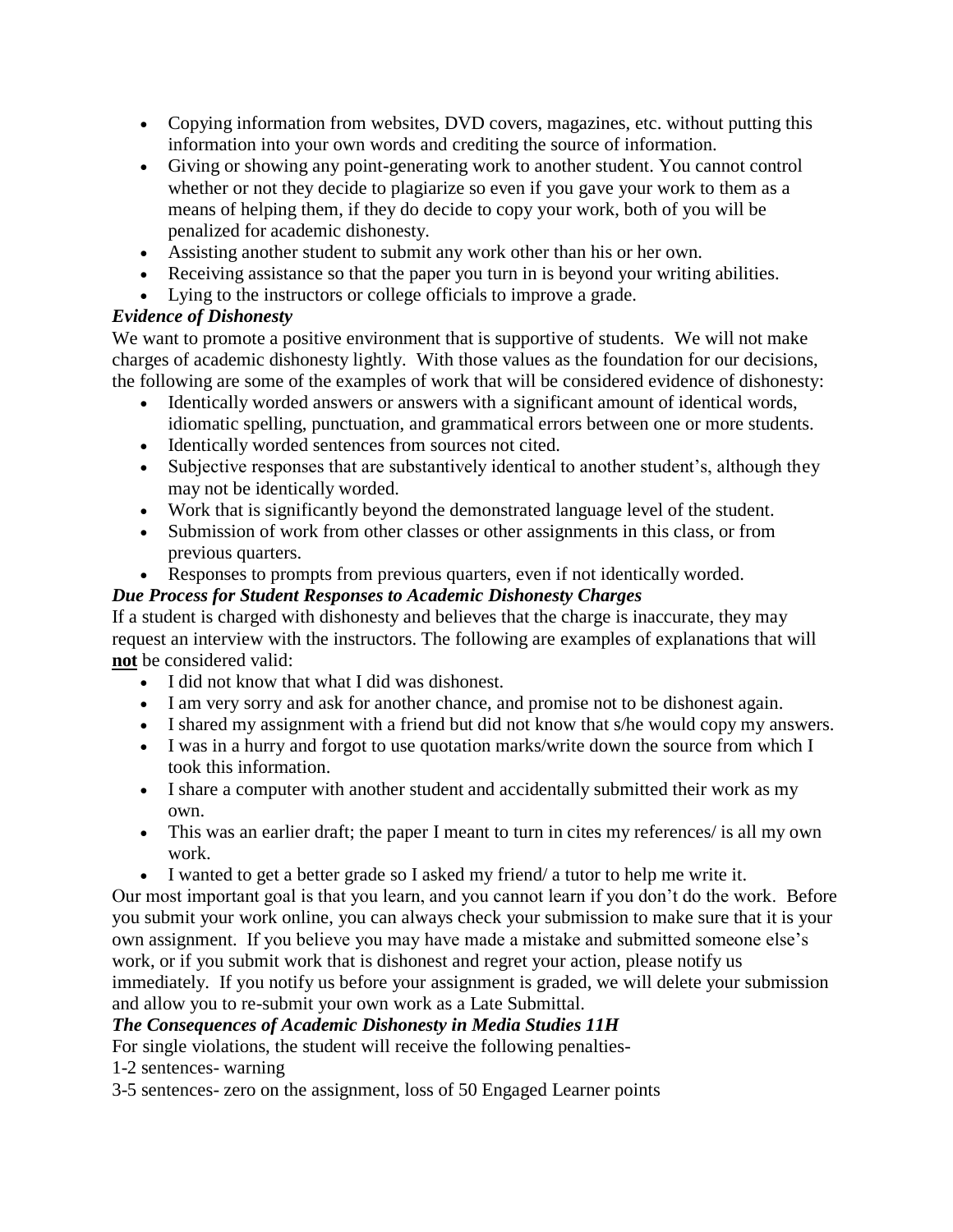- Copying information from websites, DVD covers, magazines, etc. without putting this information into your own words and crediting the source of information.
- Giving or showing any point-generating work to another student. You cannot control whether or not they decide to plagiarize so even if you gave your work to them as a means of helping them, if they do decide to copy your work, both of you will be penalized for academic dishonesty.
- Assisting another student to submit any work other than his or her own.
- Receiving assistance so that the paper you turn in is beyond your writing abilities.
- Lying to the instructors or college officials to improve a grade.

# *Evidence of Dishonesty*

We want to promote a positive environment that is supportive of students. We will not make charges of academic dishonesty lightly. With those values as the foundation for our decisions, the following are some of the examples of work that will be considered evidence of dishonesty:

- Identically worded answers or answers with a significant amount of identical words, idiomatic spelling, punctuation, and grammatical errors between one or more students.
- Identically worded sentences from sources not cited.
- Subjective responses that are substantively identical to another student's, although they may not be identically worded.
- Work that is significantly beyond the demonstrated language level of the student.
- Submission of work from other classes or other assignments in this class, or from previous quarters.
- Responses to prompts from previous quarters, even if not identically worded.

# *Due Process for Student Responses to Academic Dishonesty Charges*

If a student is charged with dishonesty and believes that the charge is inaccurate, they may request an interview with the instructors. The following are examples of explanations that will **not** be considered valid:

- I did not know that what I did was dishonest.
- I am very sorry and ask for another chance, and promise not to be dishonest again.
- I shared my assignment with a friend but did not know that s/he would copy my answers.
- I was in a hurry and forgot to use quotation marks/write down the source from which I took this information.
- I share a computer with another student and accidentally submitted their work as my own.
- This was an earlier draft; the paper I meant to turn in cites my references/ is all my own work.
- I wanted to get a better grade so I asked my friend/ a tutor to help me write it.

Our most important goal is that you learn, and you cannot learn if you don't do the work. Before you submit your work online, you can always check your submission to make sure that it is your own assignment. If you believe you may have made a mistake and submitted someone else's work, or if you submit work that is dishonest and regret your action, please notify us immediately. If you notify us before your assignment is graded, we will delete your submission and allow you to re-submit your own work as a Late Submittal.

# *The Consequences of Academic Dishonesty in Media Studies 11H*

For single violations, the student will receive the following penalties-

1-2 sentences- warning

3-5 sentences- zero on the assignment, loss of 50 Engaged Learner points